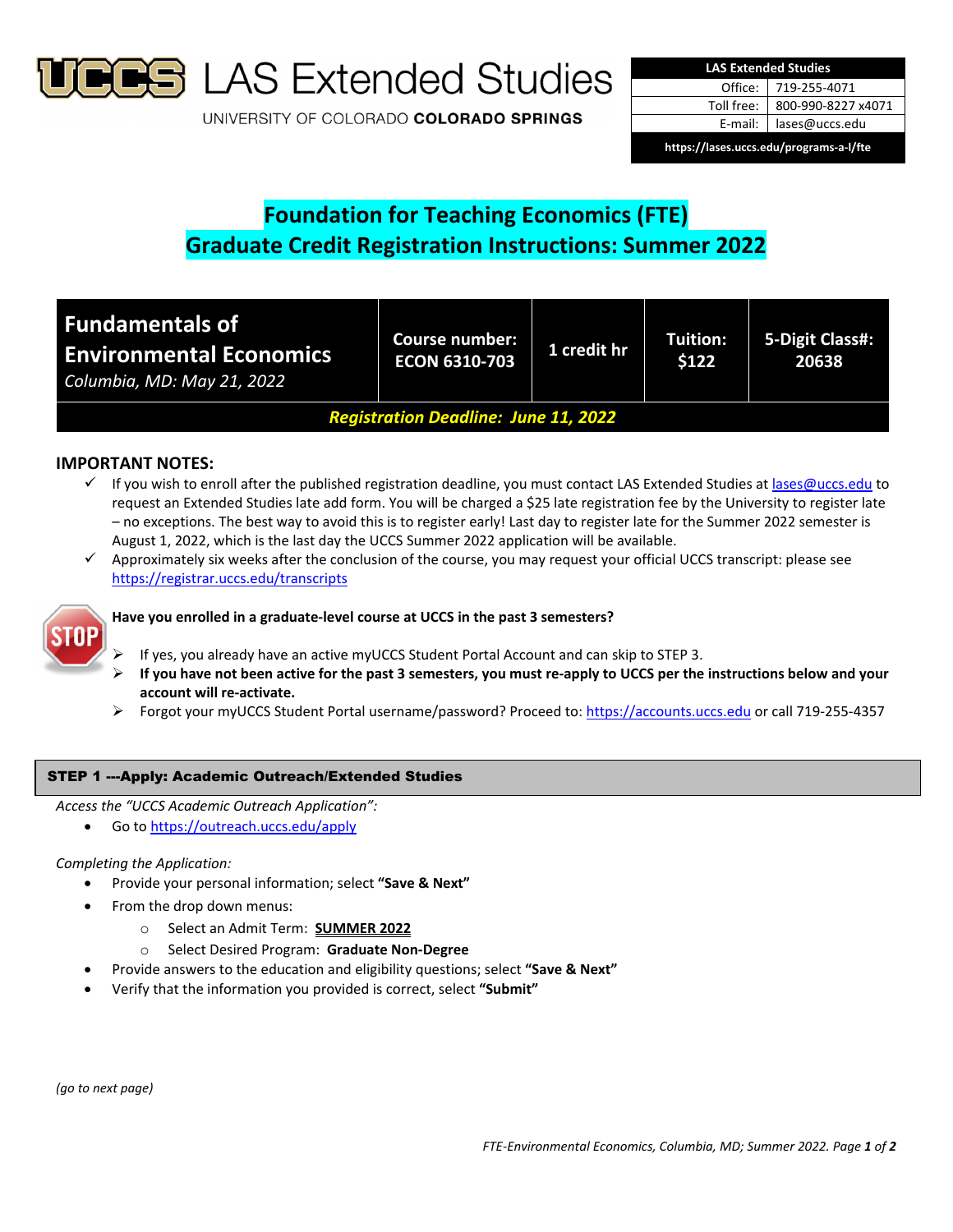

**S** LAS Extended Studies

UNIVERSITY OF COLORADO COLORADO SPRINGS

| <b>LAS Extended Studies</b>             |                    |  |  |  |  |
|-----------------------------------------|--------------------|--|--|--|--|
| Office:                                 | 719-255-4071       |  |  |  |  |
| Toll free:                              | 800-990-8227 x4071 |  |  |  |  |
| E-mail:                                 | lases@uccs.edu     |  |  |  |  |
| https://lases.uccs.edu/programs-a-l/fte |                    |  |  |  |  |

# **Foundation for Teaching Economics (FTE) Graduate Credit Registration Instructions: Summer 2022**

| <b>Fundamentals of</b><br><b>Environmental Economics</b><br>Columbia, MD: May 21, 2022 | <b>Course number:</b><br><b>ECON 6310-703</b> | 1 credit hr | Tuition:<br>\$122 | 5-Digit Class#:<br>20638 |
|----------------------------------------------------------------------------------------|-----------------------------------------------|-------------|-------------------|--------------------------|
| <b>Registration Deadline: June 11, 2022</b>                                            |                                               |             |                   |                          |

# **IMPORTANT NOTES:**

- $\checkmark$  If you wish to enroll after the published registration deadline, you must contact LAS Extended Studies at lases@uccs.edu to request an Extended Studies late add form. You will be charged a \$25 late registration fee by the University to register late – no exceptions. The best way to avoid this is to register early! Last day to register late for the Summer 2022 semester is August 1, 2022, which is the last day the UCCS Summer 2022 application will be available.
- $\checkmark$  Approximately six weeks after the conclusion of the course, you may request your official UCCS transcript: please see https://registrar.uccs.edu/transcripts



## **Have you enrolled in a graduate‐level course at UCCS in the past 3 semesters?**

- If yes, you already have an active myUCCS Student Portal Account and can skip to STEP 3.
- If you have not been active for the past 3 semesters, you must re-apply to UCCS per the instructions below and your **account will re‐activate.**
- Forgot your myUCCS Student Portal username/password? Proceed to: https://accounts.uccs.edu or call 719‐255‐4357

## STEP 1 ---Apply: Academic Outreach/Extended Studies

*Access the "UCCS Academic Outreach Application":*

Go to https://outreach.uccs.edu/apply

### *Completing the Application:*

- Provide your personal information; select **"Save & Next"**
- From the drop down menus:
	- o Select an Admit Term: **SUMMER 2022**
	- o Select Desired Program: **Graduate Non‐Degree**
	- Provide answers to the education and eligibility questions; select **"Save & Next"**
- Verify that the information you provided is correct, select **"Submit"**

*(go to next page)*